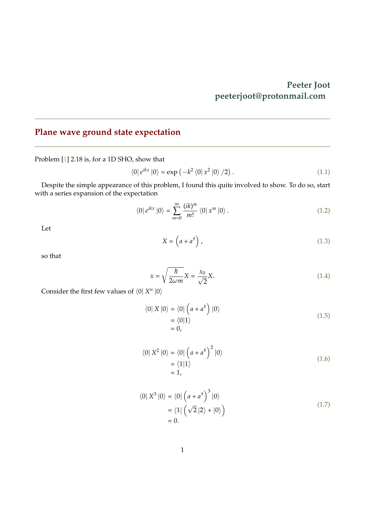## **Peeter Joot peeterjoot@protonmail.com**

## <span id="page-0-0"></span>**Plane wave ground state expectation**

Problem [\[1\]](#page-4-0) 2.18 is, for a 1D SHO, show that

$$
\langle 0|e^{ikx}|0\rangle = \exp(-k^2 \langle 0|x^2|0\rangle /2). \qquad (1.1)
$$

Despite the simple appearance of this problem, I found this quite involved to show. To do so, start with a series expansion of the expectation

$$
\langle 0 | e^{ikx} | 0 \rangle = \sum_{m=0}^{\infty} \frac{(ik)^m}{m!} \langle 0 | x^m | 0 \rangle.
$$
 (1.2)

Let

$$
X = \left(a + a^{\dagger}\right),\tag{1.3}
$$

so that

$$
x = \sqrt{\frac{\hbar}{2\omega m}} X = \frac{x_0}{\sqrt{2}} X.
$$
\n(1.4)

Consider the first few values of  $\langle 0 | X^n | 0 \rangle$ 

$$
\langle 0| X |0 \rangle = \langle 0| \left( a + a^{\dagger} \right) |0 \rangle
$$
  
= 
$$
\langle 0| 1 \rangle
$$
  
= 0, (1.5)

$$
\langle 0 | X^2 | 0 \rangle = \langle 0 | \left( a + a^{\dagger} \right)^2 | 0 \rangle
$$
  
= \langle 1 | 1 \rangle  
= 1, (1.6)

$$
\langle 0 | X^3 | 0 \rangle = \langle 0 | \left( a + a^{\dagger} \right)^3 | 0 \rangle
$$
  
= \langle 1 | \left( \sqrt{2} | 2 \rangle + | 0 \rangle \right)   
= 0. \tag{1.7}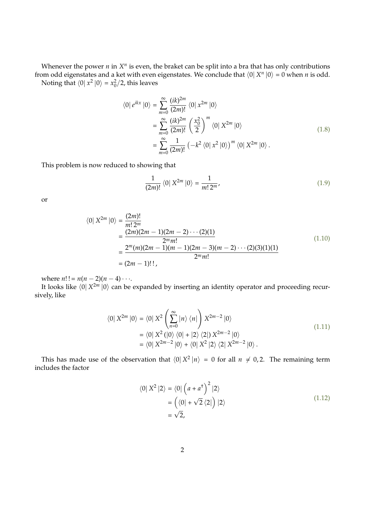Whenever the power  $n$  in  $X^n$  is even, the braket can be split into a bra that has only contributions from odd eigenstates and a ket with even eigenstates. We conclude that  $\langle 0| X^n |0 \rangle = 0$  when  $n$  is odd. Noting that  $\langle 0 | x^2 | 0 \rangle = x_0^2/2$ , this leaves

$$
\langle 0 | e^{ikx} | 0 \rangle = \sum_{m=0}^{\infty} \frac{(ik)^{2m}}{(2m)!} \langle 0 | x^{2m} | 0 \rangle
$$
  
= 
$$
\sum_{m=0}^{\infty} \frac{(ik)^{2m}}{(2m)!} \left( \frac{x_0^2}{2} \right)^m \langle 0 | X^{2m} | 0 \rangle
$$
  
= 
$$
\sum_{m=0}^{\infty} \frac{1}{(2m)!} \left( -k^2 \langle 0 | x^2 | 0 \rangle \right)^m \langle 0 | X^{2m} | 0 \rangle .
$$
 (1.8)

This problem is now reduced to showing that

$$
\frac{1}{(2m)!} \langle 0 | X^{2m} | 0 \rangle = \frac{1}{m! \, 2^m},\tag{1.9}
$$

or

$$
\langle 0 | X^{2m} | 0 \rangle = \frac{(2m)!}{m! 2^m}
$$
  
= 
$$
\frac{(2m)(2m-1)(2m-2)\cdots(2)(1)}{2^m m!}
$$
  
= 
$$
\frac{2^m(m)(2m-1)(m-1)(2m-3)(m-2)\cdots(2)(3)(1)(1)}{2^m m!}
$$
  
= 
$$
(2m-1)!!
$$
, (1.10)

where  $n!! = n(n-2)(n-4) \cdots$ .

It looks like  $\langle 0|X^{2m} |0\rangle$  can be expanded by inserting an identity operator and proceeding recursively, like

$$
\langle 0 | X^{2m} | 0 \rangle = \langle 0 | X^2 \left( \sum_{n=0}^{\infty} |n \rangle \langle n| \right) X^{2m-2} | 0 \rangle
$$
  
= 
$$
\langle 0 | X^2 (|0 \rangle \langle 0| + |2 \rangle \langle 2|) X^{2m-2} | 0 \rangle
$$
  
= 
$$
\langle 0 | X^{2m-2} | 0 \rangle + \langle 0 | X^2 | 2 \rangle \langle 2 | X^{2m-2} | 0 \rangle.
$$
 (1.11)

This has made use of the observation that  $\langle 0| X^2 |n \rangle = 0$  for all  $n \neq 0, 2$ . The remaining term includes the factor

$$
\langle 0 | X^2 | 2 \rangle = \langle 0 | \left( a + a^{\dagger} \right)^2 | 2 \rangle
$$
  
=  $\left( \langle 0 | + \sqrt{2} \langle 2 | \right) | 2 \rangle$   
=  $\sqrt{2}$ , (1.12)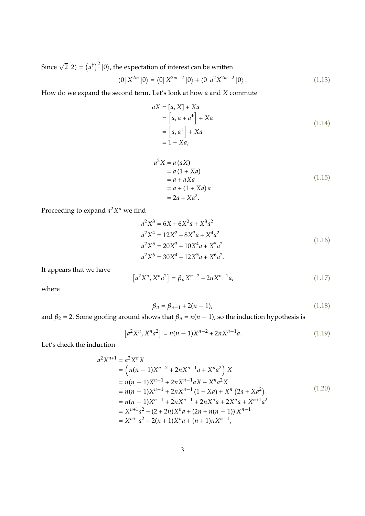Since  $\sqrt{2}|2\rangle = (a^{\dagger})^2 |0\rangle$ , the expectation of interest can be written

$$
\langle 0 | X^{2m} | 0 \rangle = \langle 0 | X^{2m-2} | 0 \rangle + \langle 0 | a^2 X^{2m-2} | 0 \rangle. \tag{1.13}
$$

How do we expand the second term. Let's look at how *a* and *X* commute

$$
aX = [a, X] + Xa
$$
  
= 
$$
[a, a + a^{\dagger}] + Xa
$$
  
= 
$$
[a, a^{\dagger}] + Xa
$$
  
= 
$$
1 + Xa,
$$
 (1.14)

$$
a2X = a (aX)
$$
  
= a (1 + Xa)  
= a + aXa  
= a + (1 + Xa) a  
= 2a + Xa<sup>2</sup>. (1.15)

Proceeding to expand *a* <sup>2</sup>*X <sup>n</sup>* we find

$$
a^{2}X^{3} = 6X + 6X^{2}a + X^{3}a^{2}
$$
  
\n
$$
a^{2}X^{4} = 12X^{2} + 8X^{3}a + X^{4}a^{2}
$$
  
\n
$$
a^{2}X^{5} = 20X^{3} + 10X^{4}a + X^{5}a^{2}
$$
  
\n
$$
a^{2}X^{6} = 30X^{4} + 12X^{5}a + X^{6}a^{2}.
$$
\n(1.16)

It appears that we have

$$
[a^{2}X^{n}, X^{n}a^{2}] = \beta_{n}X^{n-2} + 2nX^{n-1}a,
$$
\n(1.17)

where

$$
\beta_n = \beta_{n-1} + 2(n-1),\tag{1.18}
$$

and  $\beta_2 = 2$ . Some goofing around shows that  $\beta_n = n(n-1)$ , so the induction hypothesis is

$$
[a2Xn, Xna2] = n(n-1)Xn-2 + 2nXn-1a.
$$
 (1.19)

Let's check the induction

$$
a^{2}X^{n+1} = a^{2}X^{n}X
$$
  
=  $(n(n - 1)X^{n-2} + 2nX^{n-1}a + X^{n}a^{2})X$   
=  $n(n - 1)X^{n-1} + 2nX^{n-1}aX + X^{n}a^{2}X$   
=  $n(n - 1)X^{n-1} + 2nX^{n-1}(1 + Xa) + X^{n}(2a + Xa^{2})$   
=  $n(n - 1)X^{n-1} + 2nX^{n-1} + 2nX^{n}a + 2X^{n}a + X^{n+1}a^{2}$   
=  $X^{n+1}a^{2} + (2 + 2n)X^{n}a + (2n + n(n - 1))X^{n-1}$   
=  $X^{n+1}a^{2} + 2(n + 1)X^{n}a + (n + 1)nX^{n-1},$  (1.20)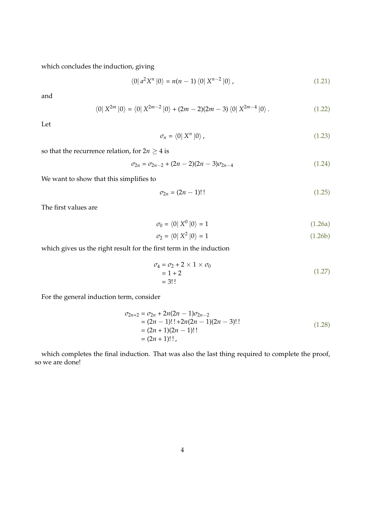which concludes the induction, giving

$$
\langle 0 | a^2 X^n | 0 \rangle = n(n-1) \langle 0 | X^{n-2} | 0 \rangle , \qquad (1.21)
$$

and

$$
\langle 0 | X^{2m} | 0 \rangle = \langle 0 | X^{2m-2} | 0 \rangle + (2m-2)(2m-3) \langle 0 | X^{2m-4} | 0 \rangle. \tag{1.22}
$$

Let

$$
\sigma_n = \langle 0 | X^n | 0 \rangle \tag{1.23}
$$

so that the recurrence relation, for  $2n \geq 4$  is

$$
\sigma_{2n} = \sigma_{2n-2} + (2n-2)(2n-3)\sigma_{2n-4} \tag{1.24}
$$

We want to show that this simplifies to

$$
\sigma_{2n} = (2n - 1)!!\tag{1.25}
$$

The first values are

$$
\sigma_0 = \langle 0 | X^0 | 0 \rangle = 1 \tag{1.26a}
$$

$$
\sigma_2 = \langle 0 | X^2 | 0 \rangle = 1 \tag{1.26b}
$$

which gives us the right result for the first term in the induction

$$
\sigma_4 = \sigma_2 + 2 \times 1 \times \sigma_0 \n= 1 + 2 \n= 3!!
$$
\n(1.27)

For the general induction term, consider

$$
\sigma_{2n+2} = \sigma_{2n} + 2n(2n - 1)\sigma_{2n-2}
$$
  
= (2n - 1)!! + 2n(2n - 1)(2n - 3)!!  
= (2n + 1)(2n - 1)!!  
= (2n + 1)!!

which completes the final induction. That was also the last thing required to complete the proof, so we are done!